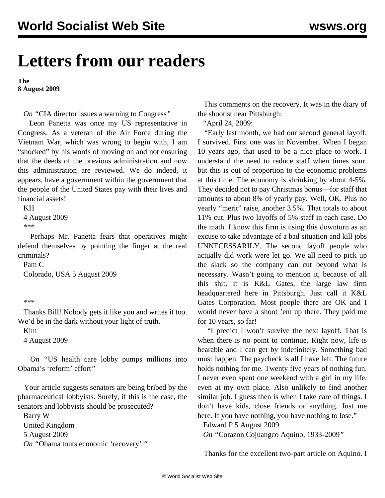# **Letters from our readers**

**The 8 August 2009**

*On "*[CIA director issues a warning to Congress](pers-a04.shtml)*"* 

 Leon Panetta was once my US representative in Congress. As a veteran of the Air Force during the Vietnam War, which was wrong to begin with, I am "shocked" by his words of moving on and not ensuring that the deeds of the previous administration and now this administration are reviewed. We do indeed, it appears, have a government within the government that the people of the United States pay with their lives and financial assets!

#### KH

 4 August 2009 \*\*\*

 Perhaps Mr. Panetta fears that operatives might defend themselves by pointing the finger at the real criminals?

 Pam C Colorado, USA 5 August 2009

#### \*\*\*

 Thanks Bill! Nobody gets it like you and writes it too. We'd be in the dark without your light of truth.

Kim

4 August 2009

 *On "*[US health care lobby pumps millions into](lobs-a05.shtml) [Obama's 'reform' effort](lobs-a05.shtml)*"* 

 Your article suggests senators are being bribed by the pharmaceutical lobbyists. Surely, if this is the case, the senators and lobbyists should be prosecuted?

 Barry W United Kingdom 5 August 2009 *On "*[Obama touts economic 'recovery'](pers-a03.shtml ) *"*

 This comments on the recovery. It was in the diary of the shootist near Pittsburgh:

"April 24, 2009:

 "Early last month, we had our second general layoff. I survived. First one was in November. When I began 10 years ago, that used to be a nice place to work. I understand the need to reduce staff when times sour, but this is out of proportion to the economic problems at this time. The economy is shrinking by about 4-5%. They decided not to pay Christmas bonus—for staff that amounts to about 8% of yearly pay. Well, OK. Plus no yearly "merit" raise, another 3.5%. That totals to about 11% cut. Plus two layoffs of 5% staff in each case. Do the math. I know this firm is using this downturn as an excuse to take advantage of a bad situation and kill jobs UNNECESSARILY. The second layoff people who actually did work were let go. We all need to pick up the slack so the company can cut beyond what is necessary. Wasn't going to mention it, because of all this shit, it is K&L Gates, the large law firm headquartered here in Pittsburgh. Just call it K&L Gates Corporation. Most people there are OK and I would never have a shoot 'em up there. They paid me for 10 years, so far!

 "I predict I won't survive the next layoff. That is when there is no point to continue. Right now, life is bearable and I can get by indefinitely. Something bad must happen. The paycheck is all I have left. The future holds nothing for me. Twenty five years of nothing fun. I never even spent one weekend with a girl in my life, even at my own place. Also unlikely to find another similar job. I guess then is when I take care of things. I don't have kids, close friends or anything. Just me here. If you have nothing, you have nothing to lose."

Edward P 5 August 2009

*On "*[Corazon Cojuangco Aquino, 1933-2009](cory-a05.shtml)*"* 

Thanks for the excellent two-part article on Aquino. I